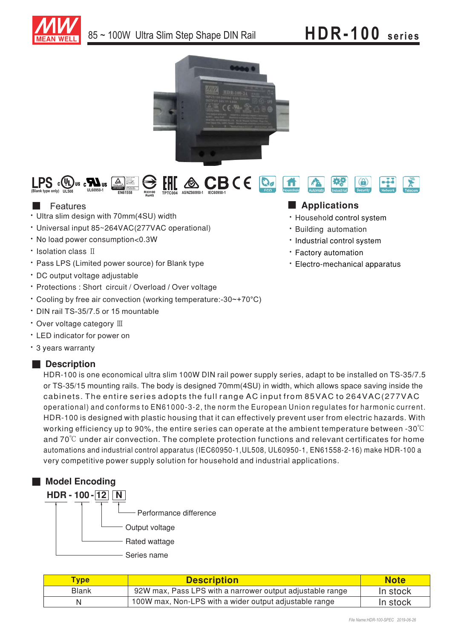





## **Features**

- Ultra slim design with 70mm(4SU) width
- Universal input 85~264VAC(277VAC operational)
- No load power consumption<0.3W
- Isolation class II
- Pass LPS (Limited power source) for Blank type
- · DC output voltage adjustable
- Protections : Short circuit / Overload / Over voltage
- Cooling by free air convection (working temperature:-30~+70°C)
- $\cdot$  DIN rail TS-35/7.5 or 15 mountable
- Over voltage category  $\mathbb I\mathbb I$
- LED indicator for power on
- 3 years warranty

## ■ **Description**

HDR-100 is one economical ultra slim 100W DIN rail power supply series, adapt to be installed on TS-35/7.5 or TS-35/15 mounting rails. The body is designed 70mm(4SU) in width, which allows space saving inside the  $\,$ cabinets. The entire series adopts the full range AC input from 85VAC to 264VAC(277VAC operational) and conforms to EN61000-3-2, the norm the European Union regulates for harmonic current. HDR-100 is designed with plastic housing that it can effectively prevent user from electric hazards. With working efficiency up to 90%, the entire series can operate at the ambient temperature between -30 $^{\circ}\!{\rm C}$ and 70 $^{\circ}$ C under air convection. The complete protection functions and relevant certificates for home automations and industrial control apparatus (IEC60950-1,UL508, UL60950-1, EN61558-2-16) make HDR-100 a very competitive power supply solution for household and industrial applications.



| <b>Type</b>  | <b>Description</b>                                        | <b>Note</b> |
|--------------|-----------------------------------------------------------|-------------|
| <b>Blank</b> | 92W max, Pass LPS with a narrower output adjustable range | In stock    |
|              | 100W max, Non-LPS with a wider output adjustable range    | In stock    |

## ■ **Applications**

- · Household control system
- · Building automation
- · Industrial control system
- Factory automation
- Electro-mechanical apparatus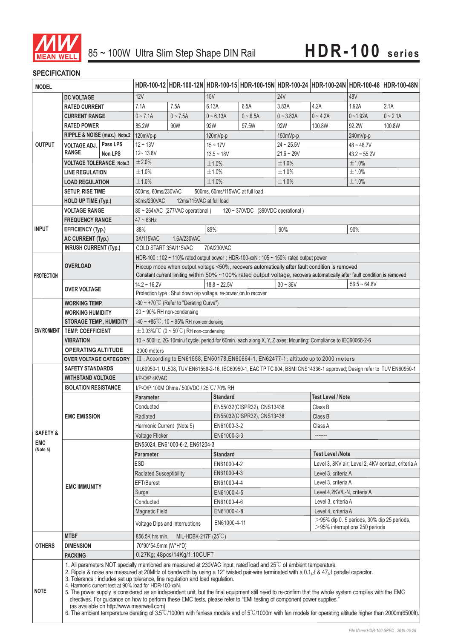

### **SPECIFICATION**

| <b>MODEL</b>            |                                                                                                                                                                                                                                                                                                                                                                                                                                                                                                                                                                                                                                                                                                                                                                                                                                                                                                                      |                                                                         |                                                                                                                                                                                                    |                                                  |                                                                                                    |                          |                     |                                                    | HDR-100-12 HDR-100-12N HDR-100-15 HDR-100-15N HDR-100-24 HDR-100-24N HDR-100-48 HDR-100-48N |            |  |
|-------------------------|----------------------------------------------------------------------------------------------------------------------------------------------------------------------------------------------------------------------------------------------------------------------------------------------------------------------------------------------------------------------------------------------------------------------------------------------------------------------------------------------------------------------------------------------------------------------------------------------------------------------------------------------------------------------------------------------------------------------------------------------------------------------------------------------------------------------------------------------------------------------------------------------------------------------|-------------------------------------------------------------------------|----------------------------------------------------------------------------------------------------------------------------------------------------------------------------------------------------|--------------------------------------------------|----------------------------------------------------------------------------------------------------|--------------------------|---------------------|----------------------------------------------------|---------------------------------------------------------------------------------------------|------------|--|
| <b>DC VOLTAGE</b>       |                                                                                                                                                                                                                                                                                                                                                                                                                                                                                                                                                                                                                                                                                                                                                                                                                                                                                                                      | 12V                                                                     |                                                                                                                                                                                                    | <b>15V</b>                                       |                                                                                                    | <b>24V</b>               |                     | 48V                                                |                                                                                             |            |  |
|                         | <b>RATED CURRENT</b>                                                                                                                                                                                                                                                                                                                                                                                                                                                                                                                                                                                                                                                                                                                                                                                                                                                                                                 |                                                                         | 7.1A                                                                                                                                                                                               | 7.5A                                             | 6.13A                                                                                              | 6.5A                     | 3.83A               | 4.2A                                               | 1.92A                                                                                       | 2.1A       |  |
| <b>OUTPUT</b>           | <b>CURRENT RANGE</b>                                                                                                                                                                                                                                                                                                                                                                                                                                                                                                                                                                                                                                                                                                                                                                                                                                                                                                 |                                                                         | $0 - 7.1A$                                                                                                                                                                                         | $0 - 7.5A$                                       | $0 - 6.13A$                                                                                        | $0 - 6.5A$               | $0 - 3.83A$         | $0 - 4.2A$                                         | $0 - 1.92A$                                                                                 | $0 - 2.1A$ |  |
|                         | <b>RATED POWER</b>                                                                                                                                                                                                                                                                                                                                                                                                                                                                                                                                                                                                                                                                                                                                                                                                                                                                                                   |                                                                         | 85.2W                                                                                                                                                                                              | 90W                                              | 92W                                                                                                | 97.5W                    | 92W                 | 100.8W                                             | 92.2W                                                                                       | 100.8W     |  |
|                         | RIPPLE & NOISE (max.) Note.2                                                                                                                                                                                                                                                                                                                                                                                                                                                                                                                                                                                                                                                                                                                                                                                                                                                                                         |                                                                         | 120mVp-p                                                                                                                                                                                           |                                                  | 120mVp-p                                                                                           |                          |                     |                                                    | 240mVp-p                                                                                    |            |  |
|                         | <b>VOLTAGE ADJ.</b>                                                                                                                                                                                                                                                                                                                                                                                                                                                                                                                                                                                                                                                                                                                                                                                                                                                                                                  | Pass LPS                                                                | $12 - 13V$                                                                                                                                                                                         | $15 - 17V$                                       |                                                                                                    | 150mVp-p<br>$24 - 25.5V$ |                     | $48 - 48.7V$                                       |                                                                                             |            |  |
|                         | <b>RANGE</b>                                                                                                                                                                                                                                                                                                                                                                                                                                                                                                                                                                                                                                                                                                                                                                                                                                                                                                         | Non LPS                                                                 | $12 - 13.8V$                                                                                                                                                                                       |                                                  | $13.5 - 18V$                                                                                       |                          | $21.6 - 29V$        |                                                    | $43.2 \sim 55.2V$                                                                           |            |  |
|                         | <b>VOLTAGE TOLERANCE Note.3</b>                                                                                                                                                                                                                                                                                                                                                                                                                                                                                                                                                                                                                                                                                                                                                                                                                                                                                      |                                                                         | ±2.0%                                                                                                                                                                                              |                                                  | ±1.0%                                                                                              |                          | ±1.0%               |                                                    | ±1.0%                                                                                       |            |  |
|                         | <b>LINE REGULATION</b>                                                                                                                                                                                                                                                                                                                                                                                                                                                                                                                                                                                                                                                                                                                                                                                                                                                                                               |                                                                         | ±1.0%                                                                                                                                                                                              |                                                  | ±1.0%                                                                                              |                          | ±1.0%               |                                                    | ±1.0%                                                                                       |            |  |
|                         | <b>LOAD REGULATION</b>                                                                                                                                                                                                                                                                                                                                                                                                                                                                                                                                                                                                                                                                                                                                                                                                                                                                                               |                                                                         | ±1.0%                                                                                                                                                                                              |                                                  | ±1.0%                                                                                              |                          | ±1.0%               |                                                    | ±1.0%                                                                                       |            |  |
| <b>SETUP, RISE TIME</b> |                                                                                                                                                                                                                                                                                                                                                                                                                                                                                                                                                                                                                                                                                                                                                                                                                                                                                                                      | 500ms, 60ms/230VAC<br>500ms, 60ms/115VAC at full load                   |                                                                                                                                                                                                    |                                                  |                                                                                                    |                          |                     |                                                    |                                                                                             |            |  |
|                         | HOLD UP TIME (Typ.)                                                                                                                                                                                                                                                                                                                                                                                                                                                                                                                                                                                                                                                                                                                                                                                                                                                                                                  |                                                                         | 12ms/115VAC at full load<br>30ms/230VAC                                                                                                                                                            |                                                  |                                                                                                    |                          |                     |                                                    |                                                                                             |            |  |
|                         | <b>VOLTAGE RANGE</b>                                                                                                                                                                                                                                                                                                                                                                                                                                                                                                                                                                                                                                                                                                                                                                                                                                                                                                 |                                                                         | 85 ~ 264VAC (277VAC operational)<br>120 ~ 370VDC (390VDC operational)                                                                                                                              |                                                  |                                                                                                    |                          |                     |                                                    |                                                                                             |            |  |
|                         | <b>FREQUENCY RANGE</b>                                                                                                                                                                                                                                                                                                                                                                                                                                                                                                                                                                                                                                                                                                                                                                                                                                                                                               |                                                                         | $47 \sim 63$ Hz                                                                                                                                                                                    |                                                  |                                                                                                    |                          |                     |                                                    |                                                                                             |            |  |
| <b>INPUT</b>            | <b>EFFICIENCY (Typ.)</b>                                                                                                                                                                                                                                                                                                                                                                                                                                                                                                                                                                                                                                                                                                                                                                                                                                                                                             |                                                                         | 88%<br>89%<br>90%                                                                                                                                                                                  |                                                  | 90%                                                                                                |                          |                     |                                                    |                                                                                             |            |  |
|                         | <b>AC CURRENT (Typ.)</b>                                                                                                                                                                                                                                                                                                                                                                                                                                                                                                                                                                                                                                                                                                                                                                                                                                                                                             |                                                                         | 3A/115VAC<br>1.6A/230VAC                                                                                                                                                                           |                                                  |                                                                                                    |                          |                     |                                                    |                                                                                             |            |  |
|                         | <b>INRUSH CURRENT (Typ.)</b>                                                                                                                                                                                                                                                                                                                                                                                                                                                                                                                                                                                                                                                                                                                                                                                                                                                                                         |                                                                         | COLD START 35A/115VAC<br>70A/230VAC                                                                                                                                                                |                                                  |                                                                                                    |                          |                     |                                                    |                                                                                             |            |  |
|                         | <b>OVERLOAD</b>                                                                                                                                                                                                                                                                                                                                                                                                                                                                                                                                                                                                                                                                                                                                                                                                                                                                                                      |                                                                         | HDR-100 : 102 ~ 110% rated output power ; HDR-100-xxN : 105 ~ 150% rated output power<br>Hiccup mode when output voltage <50%, recovers automatically after fault condition is removed             |                                                  |                                                                                                    |                          |                     |                                                    |                                                                                             |            |  |
| <b>PROTECTION</b>       |                                                                                                                                                                                                                                                                                                                                                                                                                                                                                                                                                                                                                                                                                                                                                                                                                                                                                                                      |                                                                         |                                                                                                                                                                                                    |                                                  |                                                                                                    |                          |                     |                                                    |                                                                                             |            |  |
|                         |                                                                                                                                                                                                                                                                                                                                                                                                                                                                                                                                                                                                                                                                                                                                                                                                                                                                                                                      |                                                                         | Constant current limiting within 50% ~100% rated output voltage, recovers automatically after fault condition is removed<br>$30 - 36V$<br>$14.2 \sim 16.2V$<br>$18.8 \sim 22.5V$<br>$56.5 - 64.8V$ |                                                  |                                                                                                    |                          |                     |                                                    |                                                                                             |            |  |
|                         | <b>OVER VOLTAGE</b>                                                                                                                                                                                                                                                                                                                                                                                                                                                                                                                                                                                                                                                                                                                                                                                                                                                                                                  |                                                                         |                                                                                                                                                                                                    |                                                  |                                                                                                    |                          |                     |                                                    |                                                                                             |            |  |
|                         | <b>WORKING TEMP.</b>                                                                                                                                                                                                                                                                                                                                                                                                                                                                                                                                                                                                                                                                                                                                                                                                                                                                                                 |                                                                         | Protection type : Shut down o/p voltage, re-power on to recover<br>-30 ~ +70°C (Refer to "Derating Curve")                                                                                         |                                                  |                                                                                                    |                          |                     |                                                    |                                                                                             |            |  |
| <b>ENVIRONMENT</b>      | <b>WORKING HUMIDITY</b>                                                                                                                                                                                                                                                                                                                                                                                                                                                                                                                                                                                                                                                                                                                                                                                                                                                                                              |                                                                         | $20 \sim 90\%$ RH non-condensing                                                                                                                                                                   |                                                  |                                                                                                    |                          |                     |                                                    |                                                                                             |            |  |
|                         | <b>STORAGE TEMP., HUMIDITY</b>                                                                                                                                                                                                                                                                                                                                                                                                                                                                                                                                                                                                                                                                                                                                                                                                                                                                                       |                                                                         | -40 ~ +85°C, 10 ~ 95% RH non-condensing                                                                                                                                                            |                                                  |                                                                                                    |                          |                     |                                                    |                                                                                             |            |  |
|                         |                                                                                                                                                                                                                                                                                                                                                                                                                                                                                                                                                                                                                                                                                                                                                                                                                                                                                                                      | $\pm$ 0.03%/°C (0 ~ 50°C) RH non-condensing<br><b>TEMP. COEFFICIENT</b> |                                                                                                                                                                                                    |                                                  |                                                                                                    |                          |                     |                                                    |                                                                                             |            |  |
|                         | <b>VIBRATION</b>                                                                                                                                                                                                                                                                                                                                                                                                                                                                                                                                                                                                                                                                                                                                                                                                                                                                                                     |                                                                         | 10 ~ 500Hz, 2G 10min./1cycle, period for 60min. each along X, Y, Z axes; Mounting: Compliance to IEC60068-2-6                                                                                      |                                                  |                                                                                                    |                          |                     |                                                    |                                                                                             |            |  |
|                         | <b>OPERATING ALTITUDE</b>                                                                                                                                                                                                                                                                                                                                                                                                                                                                                                                                                                                                                                                                                                                                                                                                                                                                                            |                                                                         | 2000 meters                                                                                                                                                                                        |                                                  |                                                                                                    |                          |                     |                                                    |                                                                                             |            |  |
|                         | <b>OVER VOLTAGE CATEGORY</b>                                                                                                                                                                                                                                                                                                                                                                                                                                                                                                                                                                                                                                                                                                                                                                                                                                                                                         |                                                                         | III ; According to EN61558, EN50178, EN60664-1, EN62477-1; altitude up to 2000 meters                                                                                                              |                                                  |                                                                                                    |                          |                     |                                                    |                                                                                             |            |  |
|                         | <b>SAFETY STANDARDS</b>                                                                                                                                                                                                                                                                                                                                                                                                                                                                                                                                                                                                                                                                                                                                                                                                                                                                                              |                                                                         | UL60950-1, UL508, TUV EN61558-2-16, IEC60950-1, EAC TP TC 004, BSMI CNS14336-1 approved; Design refer to TUV EN60950-1                                                                             |                                                  |                                                                                                    |                          |                     |                                                    |                                                                                             |            |  |
|                         | <b>WITHSTAND VOLTAGE</b>                                                                                                                                                                                                                                                                                                                                                                                                                                                                                                                                                                                                                                                                                                                                                                                                                                                                                             |                                                                         | I/P-O/P:4KVAC                                                                                                                                                                                      |                                                  |                                                                                                    |                          |                     |                                                    |                                                                                             |            |  |
|                         | <b>ISOLATION RESISTANCE</b>                                                                                                                                                                                                                                                                                                                                                                                                                                                                                                                                                                                                                                                                                                                                                                                                                                                                                          |                                                                         | I/P-O/P:100M Ohms / 500VDC / 25°C / 70% RH                                                                                                                                                         |                                                  |                                                                                                    |                          |                     |                                                    |                                                                                             |            |  |
|                         |                                                                                                                                                                                                                                                                                                                                                                                                                                                                                                                                                                                                                                                                                                                                                                                                                                                                                                                      | <b>Parameter</b>                                                        | <b>Test Level / Note</b><br><b>Standard</b>                                                                                                                                                        |                                                  |                                                                                                    |                          |                     |                                                    |                                                                                             |            |  |
|                         | <b>EMC EMISSION</b>                                                                                                                                                                                                                                                                                                                                                                                                                                                                                                                                                                                                                                                                                                                                                                                                                                                                                                  |                                                                         | Conducted                                                                                                                                                                                          |                                                  | EN55032(CISPR32), CNS13438                                                                         |                          |                     | Class B                                            |                                                                                             |            |  |
|                         |                                                                                                                                                                                                                                                                                                                                                                                                                                                                                                                                                                                                                                                                                                                                                                                                                                                                                                                      |                                                                         | Radiated                                                                                                                                                                                           |                                                  | EN55032(CISPR32), CNS13438                                                                         |                          |                     | Class B                                            |                                                                                             |            |  |
| <b>SAFETY &amp;</b>     |                                                                                                                                                                                                                                                                                                                                                                                                                                                                                                                                                                                                                                                                                                                                                                                                                                                                                                                      |                                                                         | Harmonic Current (Note 5)                                                                                                                                                                          |                                                  | EN61000-3-2                                                                                        |                          |                     | Class A                                            |                                                                                             |            |  |
| <b>EMC</b>              |                                                                                                                                                                                                                                                                                                                                                                                                                                                                                                                                                                                                                                                                                                                                                                                                                                                                                                                      |                                                                         | <b>Voltage Flicker</b><br>EN61000-3-3<br>EN55024, EN61000-6-2, EN61204-3                                                                                                                           |                                                  |                                                                                                    |                          |                     |                                                    |                                                                                             |            |  |
| (Note 5)                | <b>EMC IMMUNITY</b>                                                                                                                                                                                                                                                                                                                                                                                                                                                                                                                                                                                                                                                                                                                                                                                                                                                                                                  |                                                                         | <b>Test Level /Note</b><br>Parameter<br><b>Standard</b>                                                                                                                                            |                                                  |                                                                                                    |                          |                     |                                                    |                                                                                             |            |  |
|                         |                                                                                                                                                                                                                                                                                                                                                                                                                                                                                                                                                                                                                                                                                                                                                                                                                                                                                                                      |                                                                         | ESD                                                                                                                                                                                                |                                                  | EN61000-4-2                                                                                        |                          |                     | Level 3, 8KV air; Level 2, 4KV contact, criteria A |                                                                                             |            |  |
|                         |                                                                                                                                                                                                                                                                                                                                                                                                                                                                                                                                                                                                                                                                                                                                                                                                                                                                                                                      |                                                                         | Radiated Susceptibility                                                                                                                                                                            |                                                  | EN61000-4-3                                                                                        |                          | Level 3, criteria A |                                                    |                                                                                             |            |  |
|                         |                                                                                                                                                                                                                                                                                                                                                                                                                                                                                                                                                                                                                                                                                                                                                                                                                                                                                                                      |                                                                         | EFT/Burest                                                                                                                                                                                         |                                                  |                                                                                                    | EN61000-4-4              |                     | Level 3, criteria A                                |                                                                                             |            |  |
|                         |                                                                                                                                                                                                                                                                                                                                                                                                                                                                                                                                                                                                                                                                                                                                                                                                                                                                                                                      |                                                                         | Surge                                                                                                                                                                                              |                                                  | Level 4,2KV/L-N, criteria A<br>EN61000-4-5                                                         |                          |                     |                                                    |                                                                                             |            |  |
|                         |                                                                                                                                                                                                                                                                                                                                                                                                                                                                                                                                                                                                                                                                                                                                                                                                                                                                                                                      |                                                                         | Conducted                                                                                                                                                                                          |                                                  | Level 3, criteria A<br>EN61000-4-6                                                                 |                          |                     |                                                    |                                                                                             |            |  |
|                         |                                                                                                                                                                                                                                                                                                                                                                                                                                                                                                                                                                                                                                                                                                                                                                                                                                                                                                                      |                                                                         | <b>Magnetic Field</b>                                                                                                                                                                              |                                                  | EN61000-4-8<br>Level 4, criteria A                                                                 |                          |                     |                                                    |                                                                                             |            |  |
|                         |                                                                                                                                                                                                                                                                                                                                                                                                                                                                                                                                                                                                                                                                                                                                                                                                                                                                                                                      |                                                                         |                                                                                                                                                                                                    | Voltage Dips and interruptions                   | $>$ 95% dip 0. 5 periods, 30% dip 25 periods,<br>EN61000-4-11<br>$>$ 95% interruptions 250 periods |                          |                     |                                                    |                                                                                             |            |  |
|                         | <b>MTBF</b>                                                                                                                                                                                                                                                                                                                                                                                                                                                                                                                                                                                                                                                                                                                                                                                                                                                                                                          |                                                                         |                                                                                                                                                                                                    | MIL-HDBK-217F $(25^{\circ}C)$<br>856.5K hrs min. |                                                                                                    |                          |                     |                                                    |                                                                                             |            |  |
| <b>OTHERS</b>           | <b>DIMENSION</b>                                                                                                                                                                                                                                                                                                                                                                                                                                                                                                                                                                                                                                                                                                                                                                                                                                                                                                     |                                                                         | 70*90*54.5mm (W*H*D)                                                                                                                                                                               |                                                  |                                                                                                    |                          |                     |                                                    |                                                                                             |            |  |
|                         | <b>PACKING</b>                                                                                                                                                                                                                                                                                                                                                                                                                                                                                                                                                                                                                                                                                                                                                                                                                                                                                                       |                                                                         | 0.27Kg; 48pcs/14Kg/1.10CUFT                                                                                                                                                                        |                                                  |                                                                                                    |                          |                     |                                                    |                                                                                             |            |  |
| <b>NOTE</b>             | 1. All parameters NOT specially mentioned are measured at 230VAC input, rated load and 25°C of ambient temperature.<br>2. Ripple & noise are measured at 20MHz of bandwidth by using a 12" twisted pair-wire terminated with a 0.1 $\mu$ f & 47 $\mu$ f parallel capacitor.<br>3. Tolerance : includes set up tolerance, line regulation and load regulation.<br>4. Harmonic current test at 90% load for HDR-100-xxN.<br>5. The power supply is considered as an independent unit, but the final equipment still need to re-confirm that the whole system complies with the EMC<br>directives. For guidance on how to perform these EMC tests, please refer to "EMI testing of component power supplies."<br>(as available on http://www.meanwell.com)<br>6. The ambient temperature derating of 3.5°C/1000m with fanless models and of 5°C/1000m with fan models for operating altitude higher than 2000m(6500ft). |                                                                         |                                                                                                                                                                                                    |                                                  |                                                                                                    |                          |                     |                                                    |                                                                                             |            |  |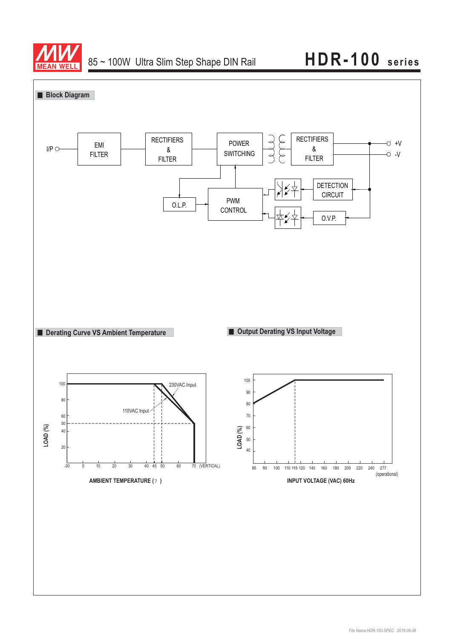

## 85~100W Ultra Slim Step Shape DIN Rail **HDR-100** series